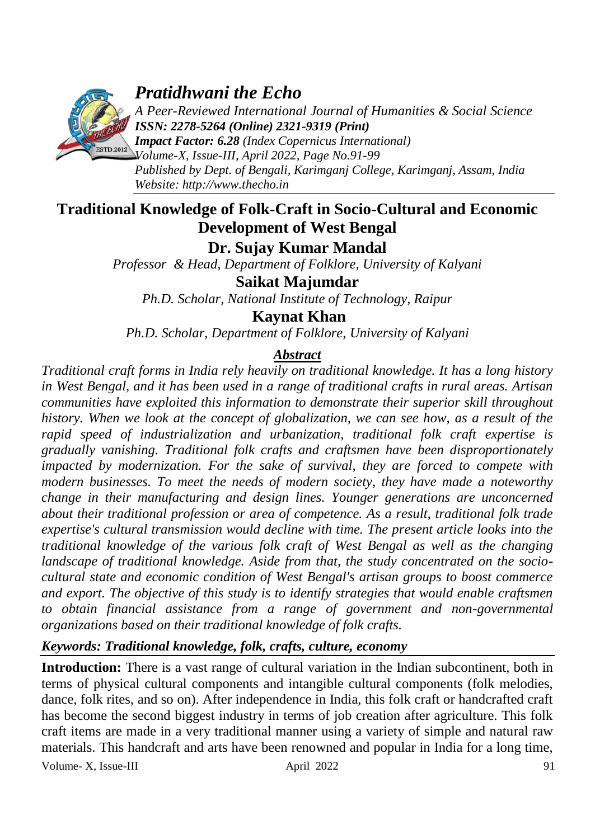

# *Pratidhwani the Echo*

*A Peer-Reviewed International Journal of Humanities & Social Science ISSN: 2278-5264 (Online) 2321-9319 (Print)*

*Impact Factor: 6.28 (Index Copernicus International) Volume-X, Issue-III, April 2022, Page No.91-99 Published by Dept. of Bengali, Karimganj College, Karimganj, Assam, India Website: [http://www.thecho.in](http://www.thecho.in/)*

# **Traditional Knowledge of Folk-Craft in Socio-Cultural and Economic Development of West Bengal**

**Dr. Sujay Kumar Mandal**

*Professor & Head, Department of Folklore, University of Kalyani*

**Saikat Majumdar**

*Ph.D. Scholar, National Institute of Technology, Raipur*

**Kaynat Khan**

*Ph.D. Scholar, Department of Folklore, University of Kalyani*

# *Abstract*

*Traditional craft forms in India rely heavily on traditional knowledge. It has a long history in West Bengal, and it has been used in a range of traditional crafts in rural areas. Artisan communities have exploited this information to demonstrate their superior skill throughout history. When we look at the concept of globalization, we can see how, as a result of the rapid speed of industrialization and urbanization, traditional folk craft expertise is gradually vanishing. Traditional folk crafts and craftsmen have been disproportionately impacted by modernization. For the sake of survival, they are forced to compete with modern businesses. To meet the needs of modern society, they have made a noteworthy change in their manufacturing and design lines. Younger generations are unconcerned about their traditional profession or area of competence. As a result, traditional folk trade expertise's cultural transmission would decline with time. The present article looks into the traditional knowledge of the various folk craft of West Bengal as well as the changing landscape of traditional knowledge. Aside from that, the study concentrated on the sociocultural state and economic condition of West Bengal's artisan groups to boost commerce and export. The objective of this study is to identify strategies that would enable craftsmen to obtain financial assistance from a range of government and non-governmental organizations based on their traditional knowledge of folk crafts.*

# *Keywords: Traditional knowledge, folk, crafts, culture, economy*

**Introduction:** There is a vast range of cultural variation in the Indian subcontinent, both in terms of physical cultural components and intangible cultural components (folk melodies, dance, folk rites, and so on). After independence in India, this folk craft or handcrafted craft has become the second biggest industry in terms of job creation after agriculture. This folk craft items are made in a very traditional manner using a variety of simple and natural raw materials. This handcraft and arts have been renowned and popular in India for a long time,

Volume- X, Issue-III april 2022 91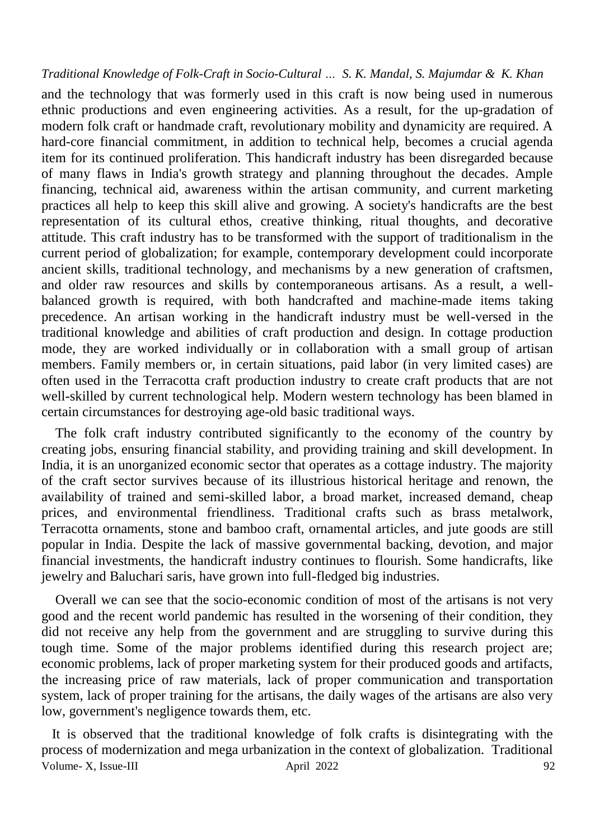and the technology that was formerly used in this craft is now being used in numerous ethnic productions and even engineering activities. As a result, for the up-gradation of modern folk craft or handmade craft, revolutionary mobility and dynamicity are required. A hard-core financial commitment, in addition to technical help, becomes a crucial agenda item for its continued proliferation. This handicraft industry has been disregarded because of many flaws in India's growth strategy and planning throughout the decades. Ample financing, technical aid, awareness within the artisan community, and current marketing practices all help to keep this skill alive and growing. A society's handicrafts are the best representation of its cultural ethos, creative thinking, ritual thoughts, and decorative attitude. This craft industry has to be transformed with the support of traditionalism in the current period of globalization; for example, contemporary development could incorporate ancient skills, traditional technology, and mechanisms by a new generation of craftsmen, and older raw resources and skills by contemporaneous artisans. As a result, a wellbalanced growth is required, with both handcrafted and machine-made items taking precedence. An artisan working in the handicraft industry must be well-versed in the traditional knowledge and abilities of craft production and design. In cottage production mode, they are worked individually or in collaboration with a small group of artisan members. Family members or, in certain situations, paid labor (in very limited cases) are often used in the Terracotta craft production industry to create craft products that are not well-skilled by current technological help. Modern western technology has been blamed in certain circumstances for destroying age-old basic traditional ways.

 The folk craft industry contributed significantly to the economy of the country by creating jobs, ensuring financial stability, and providing training and skill development. In India, it is an unorganized economic sector that operates as a cottage industry. The majority of the craft sector survives because of its illustrious historical heritage and renown, the availability of trained and semi-skilled labor, a broad market, increased demand, cheap prices, and environmental friendliness. Traditional crafts such as brass metalwork, Terracotta ornaments, stone and bamboo craft, ornamental articles, and jute goods are still popular in India. Despite the lack of massive governmental backing, devotion, and major financial investments, the handicraft industry continues to flourish. Some handicrafts, like jewelry and Baluchari saris, have grown into full-fledged big industries.

 Overall we can see that the socio-economic condition of most of the artisans is not very good and the recent world pandemic has resulted in the worsening of their condition, they did not receive any help from the government and are struggling to survive during this tough time. Some of the major problems identified during this research project are; economic problems, lack of proper marketing system for their produced goods and artifacts, the increasing price of raw materials, lack of proper communication and transportation system, lack of proper training for the artisans, the daily wages of the artisans are also very low, government's negligence towards them, etc.

Volume- X, Issue-III  $\Delta$  April 2022 92 It is observed that the traditional knowledge of folk crafts is disintegrating with the process of modernization and mega urbanization in the context of globalization. Traditional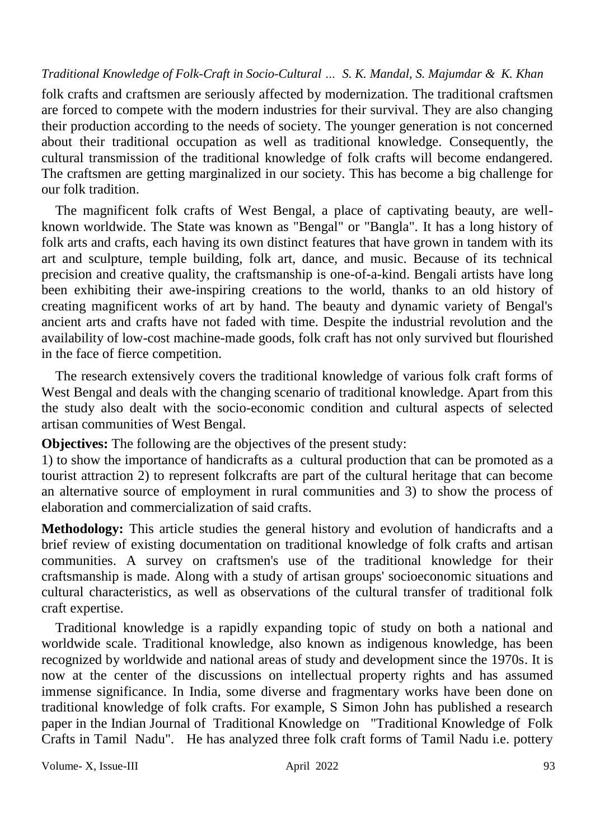folk crafts and craftsmen are seriously affected by modernization. The traditional craftsmen are forced to compete with the modern industries for their survival. They are also changing their production according to the needs of society. The younger generation is not concerned about their traditional occupation as well as traditional knowledge. Consequently, the cultural transmission of the traditional knowledge of folk crafts will become endangered. The craftsmen are getting marginalized in our society. This has become a big challenge for our folk tradition.

 The magnificent folk crafts of West Bengal, a place of captivating beauty, are wellknown worldwide. The State was known as "Bengal" or "Bangla". It has a long history of folk arts and crafts, each having its own distinct features that have grown in tandem with its art and sculpture, temple building, folk art, dance, and music. Because of its technical precision and creative quality, the craftsmanship is one-of-a-kind. Bengali artists have long been exhibiting their awe-inspiring creations to the world, thanks to an old history of creating magnificent works of art by hand. The beauty and dynamic variety of Bengal's ancient arts and crafts have not faded with time. Despite the industrial revolution and the availability of low-cost machine-made goods, folk craft has not only survived but flourished in the face of fierce competition.

 The research extensively covers the traditional knowledge of various folk craft forms of West Bengal and deals with the changing scenario of traditional knowledge. Apart from this the study also dealt with the socio-economic condition and cultural aspects of selected artisan communities of West Bengal.

**Objectives:** The following are the objectives of the present study:

1) to show the importance of handicrafts as a cultural production that can be promoted as a tourist attraction 2) to represent folkcrafts are part of the cultural heritage that can become an alternative source of employment in rural communities and 3) to show the process of elaboration and commercialization of said crafts.

**Methodology:** This article studies the general history and evolution of handicrafts and a brief review of existing documentation on traditional knowledge of folk crafts and artisan communities. A survey on craftsmen's use of the traditional knowledge for their craftsmanship is made. Along with a study of artisan groups' socioeconomic situations and cultural characteristics, as well as observations of the cultural transfer of traditional folk craft expertise.

 Traditional knowledge is a rapidly expanding topic of study on both a national and worldwide scale. Traditional knowledge, also known as indigenous knowledge, has been recognized by worldwide and national areas of study and development since the 1970s. It is now at the center of the discussions on intellectual property rights and has assumed immense significance. In India, some diverse and fragmentary works have been done on traditional knowledge of folk crafts. For example, S Simon John has published a research paper in the Indian Journal of Traditional Knowledge on "Traditional Knowledge of Folk Crafts in Tamil Nadu". He has analyzed three folk craft forms of Tamil Nadu i.e. pottery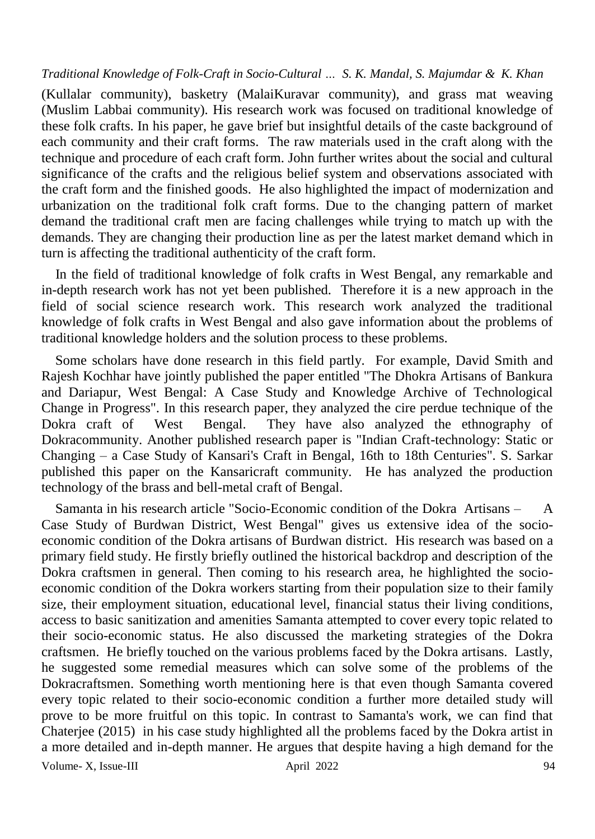(Kullalar community), basketry (MalaiKuravar community), and grass mat weaving (Muslim Labbai community). His research work was focused on traditional knowledge of these folk crafts. In his paper, he gave brief but insightful details of the caste background of each community and their craft forms. The raw materials used in the craft along with the technique and procedure of each craft form. John further writes about the social and cultural significance of the crafts and the religious belief system and observations associated with the craft form and the finished goods. He also highlighted the impact of modernization and urbanization on the traditional folk craft forms. Due to the changing pattern of market demand the traditional craft men are facing challenges while trying to match up with the demands. They are changing their production line as per the latest market demand which in turn is affecting the traditional authenticity of the craft form.

 In the field of traditional knowledge of folk crafts in West Bengal, any remarkable and in-depth research work has not yet been published. Therefore it is a new approach in the field of social science research work. This research work analyzed the traditional knowledge of folk crafts in West Bengal and also gave information about the problems of traditional knowledge holders and the solution process to these problems.

 Some scholars have done research in this field partly. For example, David Smith and Rajesh Kochhar have jointly published the paper entitled "The Dhokra Artisans of Bankura and Dariapur, West Bengal: A Case Study and Knowledge Archive of Technological Change in Progress". In this research paper, they analyzed the cire perdue technique of the Dokra craft of West Bengal. They have also analyzed the ethnography of Dokracommunity. Another published research paper is "Indian Craft-technology: Static or Changing – a Case Study of Kansari's Craft in Bengal, 16th to 18th Centuries". S. Sarkar published this paper on the Kansaricraft community. He has analyzed the production technology of the brass and bell-metal craft of Bengal.

Volume- X, Issue-III and April 2022 94 Samanta in his research article "Socio-Economic condition of the Dokra Artisans – A Case Study of Burdwan District, West Bengal" gives us extensive idea of the socioeconomic condition of the Dokra artisans of Burdwan district. His research was based on a primary field study. He firstly briefly outlined the historical backdrop and description of the Dokra craftsmen in general. Then coming to his research area, he highlighted the socioeconomic condition of the Dokra workers starting from their population size to their family size, their employment situation, educational level, financial status their living conditions, access to basic sanitization and amenities Samanta attempted to cover every topic related to their socio-economic status. He also discussed the marketing strategies of the Dokra craftsmen. He briefly touched on the various problems faced by the Dokra artisans. Lastly, he suggested some remedial measures which can solve some of the problems of the Dokracraftsmen. Something worth mentioning here is that even though Samanta covered every topic related to their socio-economic condition a further more detailed study will prove to be more fruitful on this topic. In contrast to Samanta's work, we can find that Chaterjee (2015) in his case study highlighted all the problems faced by the Dokra artist in a more detailed and in-depth manner. He argues that despite having a high demand for the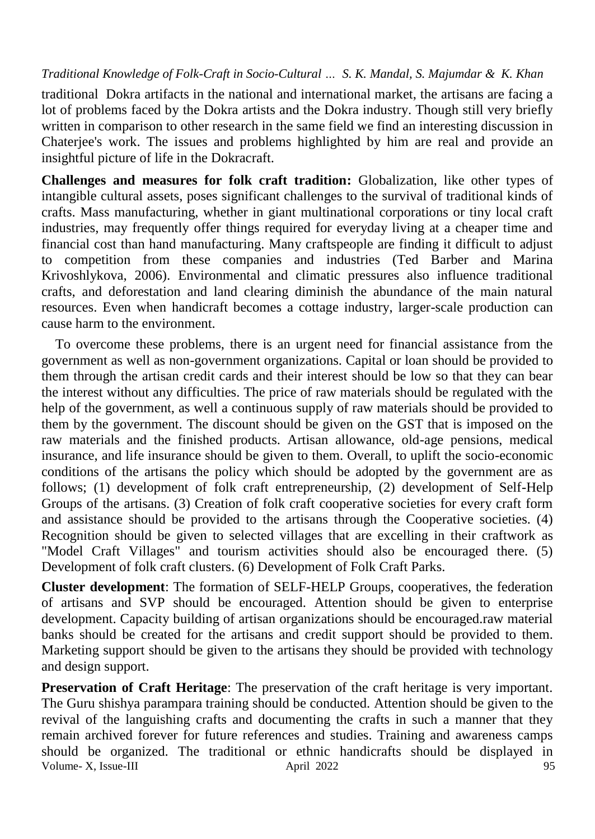traditional Dokra artifacts in the national and international market, the artisans are facing a lot of problems faced by the Dokra artists and the Dokra industry. Though still very briefly written in comparison to other research in the same field we find an interesting discussion in Chaterjee's work. The issues and problems highlighted by him are real and provide an insightful picture of life in the Dokracraft.

**Challenges and measures for folk craft tradition:** Globalization, like other types of intangible cultural assets, poses significant challenges to the survival of traditional kinds of crafts. Mass manufacturing, whether in giant multinational corporations or tiny local craft industries, may frequently offer things required for everyday living at a cheaper time and financial cost than hand manufacturing. Many craftspeople are finding it difficult to adjust to competition from these companies and industries (Ted Barber and Marina Krivoshlykova, 2006). Environmental and climatic pressures also influence traditional crafts, and deforestation and land clearing diminish the abundance of the main natural resources. Even when handicraft becomes a cottage industry, larger-scale production can cause harm to the environment.

 To overcome these problems, there is an urgent need for financial assistance from the government as well as non-government organizations. Capital or loan should be provided to them through the artisan credit cards and their interest should be low so that they can bear the interest without any difficulties. The price of raw materials should be regulated with the help of the government, as well a continuous supply of raw materials should be provided to them by the government. The discount should be given on the GST that is imposed on the raw materials and the finished products. Artisan allowance, old-age pensions, medical insurance, and life insurance should be given to them. Overall, to uplift the socio-economic conditions of the artisans the policy which should be adopted by the government are as follows; (1) development of folk craft entrepreneurship, (2) development of Self-Help Groups of the artisans. (3) Creation of folk craft cooperative societies for every craft form and assistance should be provided to the artisans through the Cooperative societies. (4) Recognition should be given to selected villages that are excelling in their craftwork as "Model Craft Villages" and tourism activities should also be encouraged there. (5) Development of folk craft clusters. (6) Development of Folk Craft Parks.

**Cluster development**: The formation of SELF-HELP Groups, cooperatives, the federation of artisans and SVP should be encouraged. Attention should be given to enterprise development. Capacity building of artisan organizations should be encouraged.raw material banks should be created for the artisans and credit support should be provided to them. Marketing support should be given to the artisans they should be provided with technology and design support.

Volume- X, Issue-III april 2022 95 **Preservation of Craft Heritage**: The preservation of the craft heritage is very important. The Guru shishya parampara training should be conducted. Attention should be given to the revival of the languishing crafts and documenting the crafts in such a manner that they remain archived forever for future references and studies. Training and awareness camps should be organized. The traditional or ethnic handicrafts should be displayed in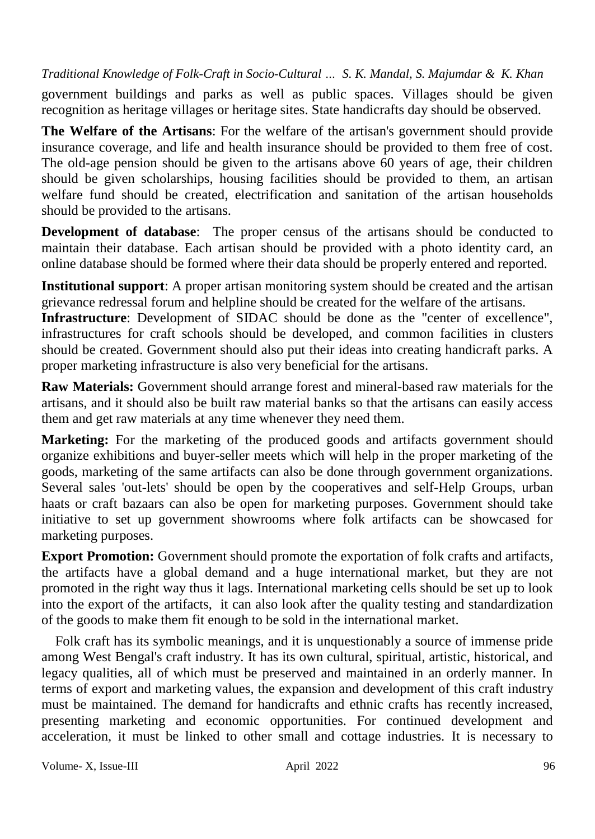government buildings and parks as well as public spaces. Villages should be given recognition as heritage villages or heritage sites. State handicrafts day should be observed.

**The Welfare of the Artisans**: For the welfare of the artisan's government should provide insurance coverage, and life and health insurance should be provided to them free of cost. The old-age pension should be given to the artisans above 60 years of age, their children should be given scholarships, housing facilities should be provided to them, an artisan welfare fund should be created, electrification and sanitation of the artisan households should be provided to the artisans.

**Development of database**: The proper census of the artisans should be conducted to maintain their database. Each artisan should be provided with a photo identity card, an online database should be formed where their data should be properly entered and reported.

**Institutional support**: A proper artisan monitoring system should be created and the artisan grievance redressal forum and helpline should be created for the welfare of the artisans.

**Infrastructure**: Development of SIDAC should be done as the "center of excellence", infrastructures for craft schools should be developed, and common facilities in clusters should be created. Government should also put their ideas into creating handicraft parks. A proper marketing infrastructure is also very beneficial for the artisans.

**Raw Materials:** Government should arrange forest and mineral-based raw materials for the artisans, and it should also be built raw material banks so that the artisans can easily access them and get raw materials at any time whenever they need them.

**Marketing:** For the marketing of the produced goods and artifacts government should organize exhibitions and buyer-seller meets which will help in the proper marketing of the goods, marketing of the same artifacts can also be done through government organizations. Several sales 'out-lets' should be open by the cooperatives and self-Help Groups, urban haats or craft bazaars can also be open for marketing purposes. Government should take initiative to set up government showrooms where folk artifacts can be showcased for marketing purposes.

**Export Promotion:** Government should promote the exportation of folk crafts and artifacts, the artifacts have a global demand and a huge international market, but they are not promoted in the right way thus it lags. International marketing cells should be set up to look into the export of the artifacts, it can also look after the quality testing and standardization of the goods to make them fit enough to be sold in the international market.

 Folk craft has its symbolic meanings, and it is unquestionably a source of immense pride among West Bengal's craft industry. It has its own cultural, spiritual, artistic, historical, and legacy qualities, all of which must be preserved and maintained in an orderly manner. In terms of export and marketing values, the expansion and development of this craft industry must be maintained. The demand for handicrafts and ethnic crafts has recently increased, presenting marketing and economic opportunities. For continued development and acceleration, it must be linked to other small and cottage industries. It is necessary to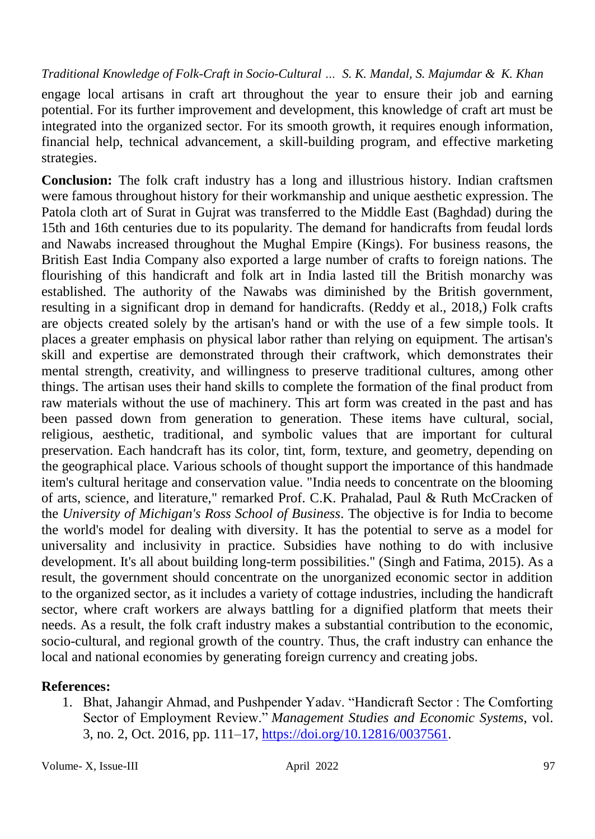engage local artisans in craft art throughout the year to ensure their job and earning potential. For its further improvement and development, this knowledge of craft art must be integrated into the organized sector. For its smooth growth, it requires enough information, financial help, technical advancement, a skill-building program, and effective marketing strategies.

**Conclusion:** The folk craft industry has a long and illustrious history. Indian craftsmen were famous throughout history for their workmanship and unique aesthetic expression. The Patola cloth art of Surat in Gujrat was transferred to the Middle East (Baghdad) during the 15th and 16th centuries due to its popularity. The demand for handicrafts from feudal lords and Nawabs increased throughout the Mughal Empire (Kings). For business reasons, the British East India Company also exported a large number of crafts to foreign nations. The flourishing of this handicraft and folk art in India lasted till the British monarchy was established. The authority of the Nawabs was diminished by the British government, resulting in a significant drop in demand for handicrafts. (Reddy et al., 2018,) Folk crafts are objects created solely by the artisan's hand or with the use of a few simple tools. It places a greater emphasis on physical labor rather than relying on equipment. The artisan's skill and expertise are demonstrated through their craftwork, which demonstrates their mental strength, creativity, and willingness to preserve traditional cultures, among other things. The artisan uses their hand skills to complete the formation of the final product from raw materials without the use of machinery. This art form was created in the past and has been passed down from generation to generation. These items have cultural, social, religious, aesthetic, traditional, and symbolic values that are important for cultural preservation. Each handcraft has its color, tint, form, texture, and geometry, depending on the geographical place. Various schools of thought support the importance of this handmade item's cultural heritage and conservation value. "India needs to concentrate on the blooming of arts, science, and literature," remarked Prof. C.K. Prahalad, Paul & Ruth McCracken of the *University of Michigan's Ross School of Business*. The objective is for India to become the world's model for dealing with diversity. It has the potential to serve as a model for universality and inclusivity in practice. Subsidies have nothing to do with inclusive development. It's all about building long-term possibilities." (Singh and Fatima, 2015). As a result, the government should concentrate on the unorganized economic sector in addition to the organized sector, as it includes a variety of cottage industries, including the handicraft sector, where craft workers are always battling for a dignified platform that meets their needs. As a result, the folk craft industry makes a substantial contribution to the economic, socio-cultural, and regional growth of the country. Thus, the craft industry can enhance the local and national economies by generating foreign currency and creating jobs.

# **References:**

1. Bhat, Jahangir Ahmad, and Pushpender Yadav. "Handicraft Sector : The Comforting Sector of Employment Review." *Management Studies and Economic Systems*, vol. 3, no. 2, Oct. 2016, pp. 111–17, [https://doi.org/10.12816/0037561.](https://doi.org/10.12816/0037561)

Volume- X, Issue-III and April 2022 97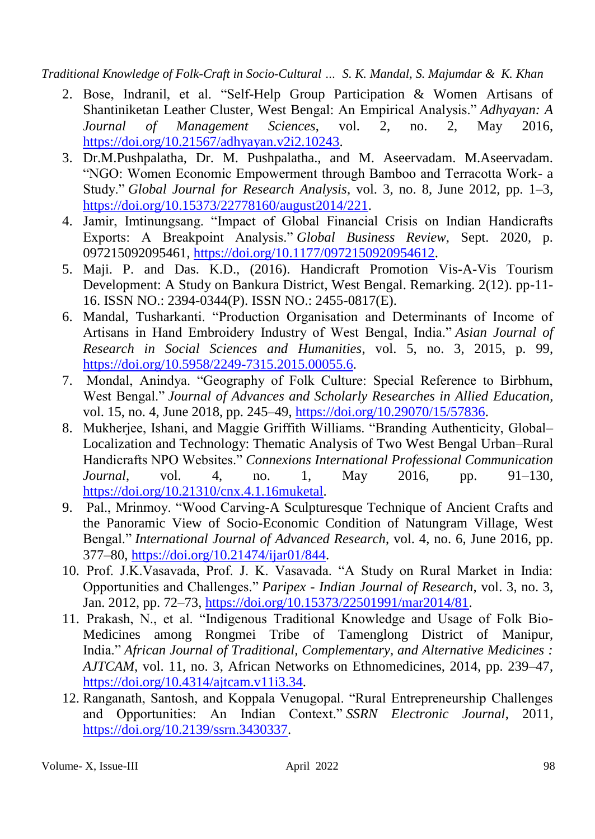- 2. Bose, Indranil, et al. "Self-Help Group Participation & Women Artisans of Shantiniketan Leather Cluster, West Bengal: An Empirical Analysis." *Adhyayan: A Journal of Management Sciences*, vol. 2, no. 2, May 2016, [https://doi.org/10.21567/adhyayan.v2i2.10243.](https://doi.org/10.21567/adhyayan.v2i2.10243)
- 3. Dr.M.Pushpalatha, Dr. M. Pushpalatha., and M. Aseervadam. M.Aseervadam. "NGO: Women Economic Empowerment through Bamboo and Terracotta Work- a Study." *Global Journal for Research Analysis*, vol. 3, no. 8, June 2012, pp. 1–3, [https://doi.org/10.15373/22778160/august2014/221.](https://doi.org/10.15373/22778160/august2014/221)
- 4. Jamir, Imtinungsang. "Impact of Global Financial Crisis on Indian Handicrafts Exports: A Breakpoint Analysis." *Global Business Review*, Sept. 2020, p. 097215092095461, [https://doi.org/10.1177/0972150920954612.](https://doi.org/10.1177/0972150920954612)
- 5. Maji. P. and Das. K.D., (2016). Handicraft Promotion Vis-A-Vis Tourism Development: A Study on Bankura District, West Bengal. Remarking. 2(12). pp-11- 16. ISSN NO.: 2394-0344(P). ISSN NO.: 2455-0817(E).
- 6. Mandal, Tusharkanti. "Production Organisation and Determinants of Income of Artisans in Hand Embroidery Industry of West Bengal, India." *Asian Journal of Research in Social Sciences and Humanities*, vol. 5, no. 3, 2015, p. 99, [https://doi.org/10.5958/2249-7315.2015.00055.6.](https://doi.org/10.5958/2249-7315.2015.00055.6)
- 7. Mondal, Anindya. "Geography of Folk Culture: Special Reference to Birbhum, West Bengal." *Journal of Advances and Scholarly Researches in Allied Education*, vol. 15, no. 4, June 2018, pp. 245–49, [https://doi.org/10.29070/15/57836.](https://doi.org/10.29070/15/57836)
- 8. Mukherjee, Ishani, and Maggie Griffith Williams. "Branding Authenticity, Global– Localization and Technology: Thematic Analysis of Two West Bengal Urban–Rural Handicrafts NPO Websites." *Connexions International Professional Communication Journal*, vol. 4, no. 1, May 2016, pp. 91–130, [https://doi.org/10.21310/cnx.4.1.16muketal.](https://doi.org/10.21310/cnx.4.1.16muketal)
- 9. Pal., Mrinmoy. "Wood Carving-A Sculpturesque Technique of Ancient Crafts and the Panoramic View of Socio-Economic Condition of Natungram Village, West Bengal." *International Journal of Advanced Research*, vol. 4, no. 6, June 2016, pp. 377–80, [https://doi.org/10.21474/ijar01/844.](https://doi.org/10.21474/ijar01/844)
- 10. Prof. J.K.Vasavada, Prof. J. K. Vasavada. "A Study on Rural Market in India: Opportunities and Challenges." *Paripex - Indian Journal of Research*, vol. 3, no. 3, Jan. 2012, pp. 72–73, [https://doi.org/10.15373/22501991/mar2014/81.](https://doi.org/10.15373/22501991/mar2014/81)
- 11. Prakash, N., et al. "Indigenous Traditional Knowledge and Usage of Folk Bio-Medicines among Rongmei Tribe of Tamenglong District of Manipur, India." *African Journal of Traditional, Complementary, and Alternative Medicines : AJTCAM*, vol. 11, no. 3, African Networks on Ethnomedicines, 2014, pp. 239–47, [https://doi.org/10.4314/ajtcam.v11i3.34.](https://doi.org/10.4314/ajtcam.v11i3.34)
- 12. Ranganath, Santosh, and Koppala Venugopal. "Rural Entrepreneurship Challenges and Opportunities: An Indian Context." *SSRN Electronic Journal*, 2011, [https://doi.org/10.2139/ssrn.3430337.](https://doi.org/10.2139/ssrn.3430337)